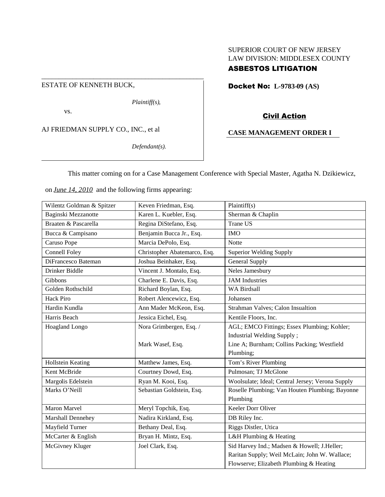## SUPERIOR COURT OF NEW JERSEY LAW DIVISION: MIDDLESEX COUNTY

# ASBESTOS LITIGATION

ESTATE OF KENNETH BUCK,

*Plaintiff(s),*

vs.

AJ FRIEDMAN SUPPLY CO., INC., et al

*Defendant(s).*

Docket No: **L-9783-09 (AS)**

## Civil Action

## **CASE MANAGEMENT ORDER I**

This matter coming on for a Case Management Conference with Special Master, Agatha N. Dzikiewicz,

on *June 14, 2010* and the following firms appearing:

\_\_\_\_\_\_\_\_\_\_\_\_\_\_\_\_\_\_\_\_\_\_\_\_\_\_\_\_\_\_\_\_\_\_\_\_\_\_\_\_\_\_\_\_\_\_\_

| Wilentz Goldman & Spitzer | Keven Friedman, Esq.         | Plaintiff(s)                                     |
|---------------------------|------------------------------|--------------------------------------------------|
| Baginski Mezzanotte       | Karen L. Kuebler, Esq.       | Sherman & Chaplin                                |
| Braaten & Pascarella      | Regina DiStefano, Esq.       | <b>Trane US</b>                                  |
| Bucca & Campisano         | Benjamin Bucca Jr., Esq.     | <b>IMO</b>                                       |
| Caruso Pope               | Marcia DePolo, Esq.          | Notte                                            |
| Connell Foley             | Christopher Abatemarco, Esq. | <b>Superior Welding Supply</b>                   |
| DiFrancesco Bateman       | Joshua Beinhaker, Esq.       | <b>General Supply</b>                            |
| Drinker Biddle            | Vincent J. Montalo, Esq.     | Neles Jamesbury                                  |
| Gibbons                   | Charlene E. Davis, Esq.      | <b>JAM</b> Industries                            |
| Golden Rothschild         | Richard Boylan, Esq.         | <b>WA Birdsall</b>                               |
| <b>Hack Piro</b>          | Robert Alencewicz, Esq.      | Johansen                                         |
| Hardin Kundla             | Ann Mader McKeon, Esq.       | Strahman Valves; Calon Insualtion                |
| Harris Beach              | Jessica Eichel, Esq.         | Kentile Floors, Inc.                             |
| Hoagland Longo            | Nora Grimbergen, Esq. /      | AGL; EMCO Fittings; Essex Plumbing; Kohler;      |
|                           |                              | Industrial Welding Supply;                       |
|                           | Mark Wasef, Esq.             | Line A; Burnham; Collins Packing; Westfield      |
|                           |                              | Plumbing;                                        |
| Hollstein Keating         | Matthew James, Esq.          | Tom's River Plumbing                             |
| Kent McBride              | Courtney Dowd, Esq.          | Pulmosan; TJ McGlone                             |
| Margolis Edelstein        | Ryan M. Kooi, Esq.           | Woolsulate; Ideal; Central Jersey; Verona Supply |
| Marks O'Neill             | Sebastian Goldstein, Esq.    | Roselle Plumbing; Van Houten Plumbing; Bayonne   |
|                           |                              | Plumbing                                         |
| Maron Marvel              | Meryl Topchik, Esq.          | Keeler Dorr Oliver                               |
| Marshall Dennehey         | Nadira Kirkland, Esq.        | DB Riley Inc.                                    |
| Mayfield Turner           | Bethany Deal, Esq.           | Riggs Distler, Utica                             |
| McCarter & English        | Bryan H. Mintz, Esq.         | L&H Plumbing & Heating                           |
| McGivney Kluger           | Joel Clark, Esq.             | Sid Harvey Ind.; Madsen & Howell; J.Heller;      |
|                           |                              | Raritan Supply; Weil McLain; John W. Wallace;    |
|                           |                              | Flowserve; Elizabeth Plumbing & Heating          |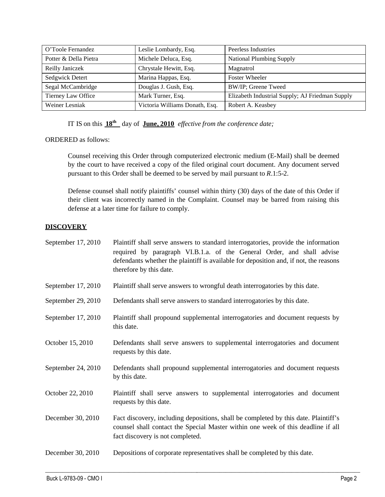| O'Toole Fernandez     | Leslie Lombardy, Esq.          | Peerless Industries                             |
|-----------------------|--------------------------------|-------------------------------------------------|
| Potter & Della Pietra | Michele Deluca, Esq.           | <b>National Plumbing Supply</b>                 |
| Reilly Janiczek       | Chrystale Hewitt, Esq.         | Magnatrol                                       |
| Sedgwick Detert       | Marina Happas, Esq.            | <b>Foster Wheeler</b>                           |
| Segal McCambridge     | Douglas J. Gush, Esq.          | BW/IP; Greene Tweed                             |
| Tierney Law Office    | Mark Turner, Esq.              | Elizabeth Industrial Supply; AJ Friedman Supply |
| Weiner Lesniak        | Victoria Williams Donath, Esq. | Robert A. Keasbey                               |

IT IS on this **18th** day of **June, 2010** *effective from the conference date;*

ORDERED as follows:

Counsel receiving this Order through computerized electronic medium (E-Mail) shall be deemed by the court to have received a copy of the filed original court document. Any document served pursuant to this Order shall be deemed to be served by mail pursuant to *R*.1:5-2.

Defense counsel shall notify plaintiffs' counsel within thirty (30) days of the date of this Order if their client was incorrectly named in the Complaint. Counsel may be barred from raising this defense at a later time for failure to comply.

## **DISCOVERY**

| September 17, 2010 | Plaintiff shall serve answers to standard interrogatories, provide the information<br>required by paragraph VI.B.1.a. of the General Order, and shall advise<br>defendants whether the plaintiff is available for deposition and, if not, the reasons<br>therefore by this date. |
|--------------------|----------------------------------------------------------------------------------------------------------------------------------------------------------------------------------------------------------------------------------------------------------------------------------|
| September 17, 2010 | Plaintiff shall serve answers to wrongful death interrogatories by this date.                                                                                                                                                                                                    |
| September 29, 2010 | Defendants shall serve answers to standard interrogatories by this date.                                                                                                                                                                                                         |
| September 17, 2010 | Plaintiff shall propound supplemental interrogatories and document requests by<br>this date.                                                                                                                                                                                     |
| October 15, 2010   | Defendants shall serve answers to supplemental interrogatories and document<br>requests by this date.                                                                                                                                                                            |
| September 24, 2010 | Defendants shall propound supplemental interrogatories and document requests<br>by this date.                                                                                                                                                                                    |
| October 22, 2010   | Plaintiff shall serve answers to supplemental interrogatories and document<br>requests by this date.                                                                                                                                                                             |
| December 30, 2010  | Fact discovery, including depositions, shall be completed by this date. Plaintiff's<br>counsel shall contact the Special Master within one week of this deadline if all<br>fact discovery is not completed.                                                                      |
| December 30, 2010  | Depositions of corporate representatives shall be completed by this date.                                                                                                                                                                                                        |

 $\_$  , and the state of the state of the state of the state of the state of the state of the state of the state of the state of the state of the state of the state of the state of the state of the state of the state of the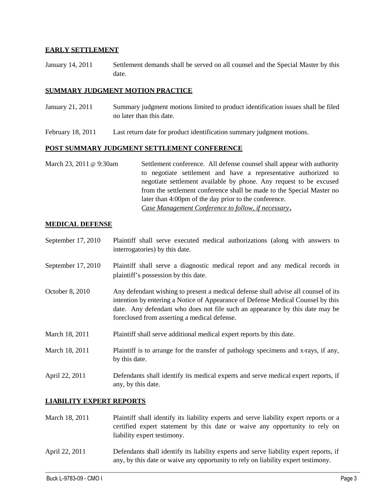### **EARLY SETTLEMENT**

January 14, 2011 Settlement demands shall be served on all counsel and the Special Master by this date.

#### **SUMMARY JUDGMENT MOTION PRACTICE**

- January 21, 2011 Summary judgment motions limited to product identification issues shall be filed no later than this date.
- February 18, 2011 Last return date for product identification summary judgment motions.

#### **POST SUMMARY JUDGMENT SETTLEMENT CONFERENCE**

March 23, 2011 @ 9:30am Settlement conference. All defense counsel shall appear with authority to negotiate settlement and have a representative authorized to negotiate settlement available by phone. Any request to be excused from the settlement conference shall be made to the Special Master no later than 4:00pm of the day prior to the conference. *Case Management Conference to follow, if necessary***.**

### **MEDICAL DEFENSE**

- September 17, 2010 Plaintiff shall serve executed medical authorizations (along with answers to interrogatories) by this date.
- September 17, 2010 Plaintiff shall serve a diagnostic medical report and any medical records in plaintiff's possession by this date.
- October 8, 2010 Any defendant wishing to present a medical defense shall advise all counsel of its intention by entering a Notice of Appearance of Defense Medical Counsel by this date. Any defendant who does not file such an appearance by this date may be foreclosed from asserting a medical defense.
- March 18, 2011 Plaintiff shall serve additional medical expert reports by this date.
- March 18, 2011 Plaintiff is to arrange for the transfer of pathology specimens and x-rays, if any, by this date.
- April 22, 2011 Defendants shall identify its medical experts and serve medical expert reports, if any, by this date.

## **LIABILITY EXPERT REPORTS**

- March 18, 2011 Plaintiff shall identify its liability experts and serve liability expert reports or a certified expert statement by this date or waive any opportunity to rely on liability expert testimony.
- April 22, 2011 Defendants shall identify its liability experts and serve liability expert reports, if any, by this date or waive any opportunity to rely on liability expert testimony.

 $\_$  , and the state of the state of the state of the state of the state of the state of the state of the state of the state of the state of the state of the state of the state of the state of the state of the state of the